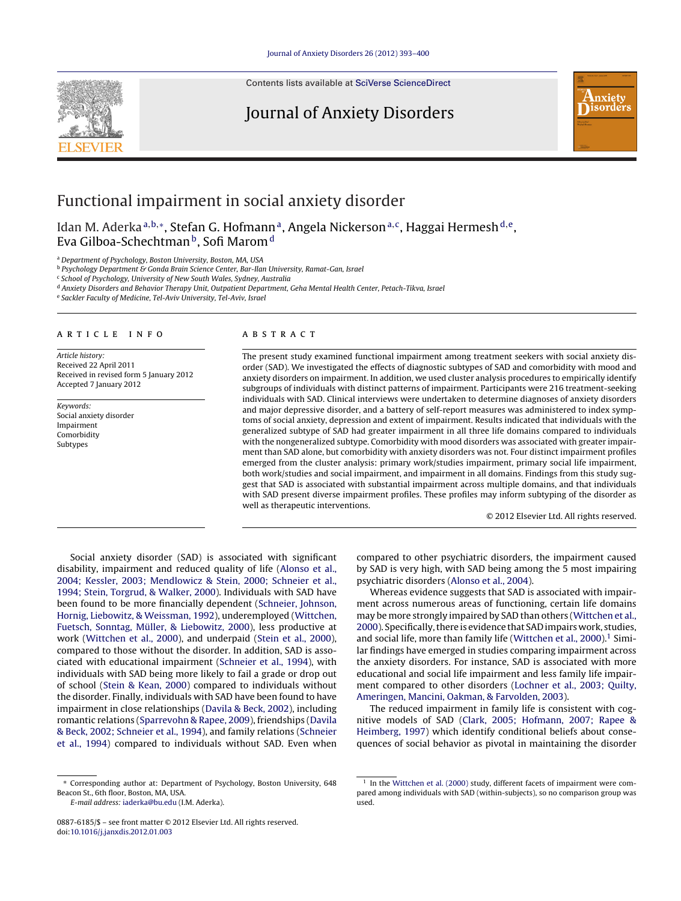Contents lists available at SciVerse [ScienceDirect](http://www.sciencedirect.com/science/journal/08876185)

### Journal of Anxiety Disorders



## Functional impairment in social anxiety disorder

Idan M. Aderka<sup>a,b,∗</sup>, Stefan G. Hofmann<sup>a</sup>, Angela Nickerson<sup>a,c</sup>, Haggai Hermesh<sup>d,e</sup>, Eva Gilboa-Schechtman<sup>b</sup>, Sofi Marom<sup>d</sup>

<sup>a</sup> Department of Psychology, Boston University, Boston, MA, USA

b Psychology Department & Gonda Brain Science Center, Bar-Ilan University, Ramat-Gan, Israel

<sup>c</sup> School of Psychology, University of New South Wales, Sydney, Australia

<sup>d</sup> Anxiety Disorders and Behavior Therapy Unit, Outpatient Department, Geha Mental Health Center, Petach-Tikva, Israel

<sup>e</sup> Sackler Faculty of Medicine, Tel-Aviv University, Tel-Aviv, Israel

#### ARTICLE INFO

Article history: Received 22 April 2011 Received in revised form 5 January 2012 Accepted 7 January 2012

Keywords: Social anxiety disorder Impairment Comorbidity Subtypes

#### A B S T R A C T

The present study examined functional impairment among treatment seekers with social anxiety disorder (SAD). We investigated the effects of diagnostic subtypes of SAD and comorbidity with mood and anxiety disorders on impairment. In addition, we used cluster analysis procedures to empirically identify subgroups of individuals with distinct patterns of impairment. Participants were 216 treatment-seeking individuals with SAD. Clinical interviews were undertaken to determine diagnoses of anxiety disorders and major depressive disorder, and a battery of self-report measures was administered to index symptoms of social anxiety, depression and extent of impairment. Results indicated that individuals with the generalized subtype of SAD had greater impairment in all three life domains compared to individuals with the nongeneralized subtype. Comorbidity with mood disorders was associated with greater impairment than SAD alone, but comorbidity with anxiety disorders was not. Four distinct impairment profiles emerged from the cluster analysis: primary work/studies impairment, primary social life impairment, both work/studies and social impairment, and impairment in all domains. Findings from this study suggest that SAD is associated with substantial impairment across multiple domains, and that individuals with SAD present diverse impairment profiles. These profiles may inform subtyping of the disorder as well as therapeutic interventions.

© 2012 Elsevier Ltd. All rights reserved.

Social anxiety disorder (SAD) is associated with significant disability, impairment and reduced quality of life [\(Alonso](#page--1-0) et [al.,](#page--1-0) [2004;](#page--1-0) [Kessler,](#page--1-0) [2003;](#page--1-0) [Mendlowicz](#page--1-0) [&](#page--1-0) [Stein,](#page--1-0) [2000;](#page--1-0) [Schneier](#page--1-0) et [al.,](#page--1-0) [1994;](#page--1-0) [Stein,](#page--1-0) [Torgrud,](#page--1-0) [&](#page--1-0) [Walker,](#page--1-0) [2000\).](#page--1-0) Individuals with SAD have been found to be more financially dependent ([Schneier,](#page--1-0) [Johnson,](#page--1-0) [Hornig,](#page--1-0) [Liebowitz,](#page--1-0) [&](#page--1-0) [Weissman,](#page--1-0) [1992\),](#page--1-0) underemployed ([Wittchen,](#page--1-0) [Fuetsch,](#page--1-0) [Sonntag,](#page--1-0) [Müller,](#page--1-0) [&](#page--1-0) [Liebowitz,](#page--1-0) [2000\),](#page--1-0) less productive at work ([Wittchen](#page--1-0) et [al.,](#page--1-0) [2000\),](#page--1-0) and underpaid ([Stein](#page--1-0) et [al.,](#page--1-0) [2000\),](#page--1-0) compared to those without the disorder. In addition, SAD is associated with educational impairment [\(Schneier](#page--1-0) et [al.,](#page--1-0) [1994\),](#page--1-0) with individuals with SAD being more likely to fail a grade or drop out of school [\(Stein](#page--1-0) [&](#page--1-0) [Kean,](#page--1-0) [2000\)](#page--1-0) compared to individuals without the disorder. Finally, individuals with SAD have been found to have impairment in close relationships [\(Davila](#page--1-0) [&](#page--1-0) [Beck,](#page--1-0) [2002\),](#page--1-0) including romantic relations [\(Sparrevohn](#page--1-0) [&](#page--1-0) [Rapee,](#page--1-0) [2009\),](#page--1-0) friendships [\(Davila](#page--1-0) [&](#page--1-0) [Beck,](#page--1-0) [2002;](#page--1-0) [Schneier](#page--1-0) et [al.,](#page--1-0) [1994\),](#page--1-0) and family relations [\(Schneier](#page--1-0) et [al.,](#page--1-0) [1994\)](#page--1-0) compared to individuals without SAD. Even when

E-mail address: [iaderka@bu.edu](mailto:iaderka@bu.edu) (I.M. Aderka).

compared to other psychiatric disorders, the impairment caused by SAD is very high, with SAD being among the 5 most impairing psychiatric disorders ([Alonso](#page--1-0) et [al.,](#page--1-0) [2004\).](#page--1-0)

Whereas evidence suggests that SAD is associated with impairment across numerous areas of functioning, certain life domains may be more strongly impaired by SAD than others [\(Wittchen](#page--1-0) et [al.,](#page--1-0) [2000\).](#page--1-0) Specifically, there is evidence that SAD impairs work, studies, and social life, more than family life [\(Wittchen](#page--1-0) et [al.,](#page--1-0) [2000\).](#page--1-0)<sup>1</sup> Similar findings have emerged in studies comparing impairment across the anxiety disorders. For instance, SAD is associated with more educational and social life impairment and less family life impairment compared to other disorders [\(Lochner](#page--1-0) et [al.,](#page--1-0) [2003;](#page--1-0) [Quilty,](#page--1-0) [Ameringen,](#page--1-0) [Mancini,](#page--1-0) [Oakman,](#page--1-0) [&](#page--1-0) [Farvolden,](#page--1-0) [2003\).](#page--1-0)

The reduced impairment in family life is consistent with cognitive models of SAD [\(Clark,](#page--1-0) [2005;](#page--1-0) [Hofmann,](#page--1-0) [2007;](#page--1-0) [Rapee](#page--1-0) [&](#page--1-0) [Heimberg,](#page--1-0) [1997\)](#page--1-0) which identify conditional beliefs about consequences of social behavior as pivotal in maintaining the disorder



<sup>∗</sup> Corresponding author at: Department of Psychology, Boston University, 648 Beacon St., 6th floor, Boston, MA, USA.

<sup>0887-6185/\$</sup> – see front matter © 2012 Elsevier Ltd. All rights reserved. doi:[10.1016/j.janxdis.2012.01.003](dx.doi.org/10.1016/j.janxdis.2012.01.003)

 $1$  In the [Wittchen](#page--1-0) et [al.](#page--1-0) [\(2000\)](#page--1-0) study, different facets of impairment were compared among individuals with SAD (within-subjects), so no comparison group was used.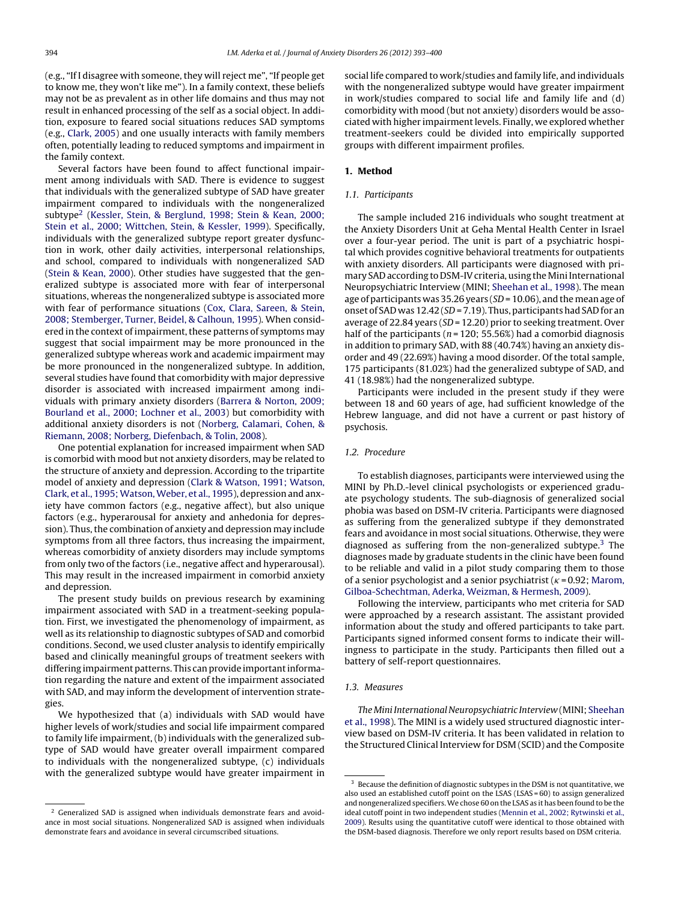(e.g., "If I disagree with someone, they will reject me", "If people get to know me, they won't like me"). In a family context, these beliefs may not be as prevalent as in other life domains and thus may not result in enhanced processing of the self as a social object. In addition, exposure to feared social situations reduces SAD symptoms (e.g., [Clark,](#page--1-0) [2005\)](#page--1-0) and one usually interacts with family members often, potentially leading to reduced symptoms and impairment in the family context.

Several factors have been found to affect functional impairment among individuals with SAD. There is evidence to suggest that individuals with the generalized subtype of SAD have greater impairment compared to individuals with the nongeneralized subtype2 ([Kessler,](#page--1-0) [Stein,](#page--1-0) [&](#page--1-0) [Berglund,](#page--1-0) [1998;](#page--1-0) [Stein](#page--1-0) [&](#page--1-0) [Kean,](#page--1-0) [2000;](#page--1-0) [Stein](#page--1-0) et [al.,](#page--1-0) [2000;](#page--1-0) [Wittchen,](#page--1-0) [Stein,](#page--1-0) [&](#page--1-0) [Kessler,](#page--1-0) [1999\).](#page--1-0) Specifically, individuals with the generalized subtype report greater dysfunction in work, other daily activities, interpersonal relationships, and school, compared to individuals with nongeneralized SAD ([Stein](#page--1-0) [&](#page--1-0) [Kean,](#page--1-0) [2000\).](#page--1-0) Other studies have suggested that the generalized subtype is associated more with fear of interpersonal situations, whereas the nongeneralized subtype is associated more with fear of performance situations ([Cox,](#page--1-0) [Clara,](#page--1-0) [Sareen,](#page--1-0) [&](#page--1-0) [Stein,](#page--1-0) [2008;](#page--1-0) [Stemberger,](#page--1-0) [Turner,](#page--1-0) [Beidel,](#page--1-0) [&](#page--1-0) [Calhoun,](#page--1-0) [1995\).](#page--1-0) When considered in the context of impairment, these patterns of symptoms may suggest that social impairment may be more pronounced in the generalized subtype whereas work and academic impairment may be more pronounced in the nongeneralized subtype. In addition, several studies have found that comorbidity with major depressive disorder is associated with increased impairment among individuals with primary anxiety disorders ([Barrera](#page--1-0) [&](#page--1-0) [Norton,](#page--1-0) [2009;](#page--1-0) [Bourland](#page--1-0) et [al.,](#page--1-0) [2000;](#page--1-0) [Lochner](#page--1-0) et [al.,](#page--1-0) [2003\)](#page--1-0) but comorbidity with additional anxiety disorders is not ([Norberg,](#page--1-0) [Calamari,](#page--1-0) [Cohen,](#page--1-0) [&](#page--1-0) [Riemann,](#page--1-0) [2008;](#page--1-0) [Norberg,](#page--1-0) [Diefenbach,](#page--1-0) [&](#page--1-0) [Tolin,](#page--1-0) [2008\).](#page--1-0)

One potential explanation for increased impairment when SAD is comorbid with mood but not anxiety disorders, may be related to the structure of anxiety and depression. According to the tripartite model of anxiety and depression [\(Clark](#page--1-0) [&](#page--1-0) [Watson,](#page--1-0) [1991;](#page--1-0) [Watson,](#page--1-0) [Clark,](#page--1-0) et [al.,](#page--1-0) 1995; Watson, Weber, et al., [1995\),](#page--1-0) depression and anxiety have common factors (e.g., negative affect), but also unique factors (e.g., hyperarousal for anxiety and anhedonia for depression). Thus, the combination of anxiety and depression may include symptoms from all three factors, thus increasing the impairment, whereas comorbidity of anxiety disorders may include symptoms from only two of the factors (i.e., negative affect and hyperarousal). This may result in the increased impairment in comorbid anxiety and depression.

The present study builds on previous research by examining impairment associated with SAD in a treatment-seeking population. First, we investigated the phenomenology of impairment, as well as its relationship to diagnostic subtypes of SAD and comorbid conditions. Second, we used cluster analysis to identify empirically based and clinically meaningful groups of treatment seekers with differing impairment patterns. This can provide important information regarding the nature and extent of the impairment associated with SAD, and may inform the development of intervention strategies.

We hypothesized that (a) individuals with SAD would have higher levels of work/studies and social life impairment compared to family life impairment, (b) individuals with the generalized subtype of SAD would have greater overall impairment compared to individuals with the nongeneralized subtype, (c) individuals with the generalized subtype would have greater impairment in

social life compared to work/studies and family life, and individuals with the nongeneralized subtype would have greater impairment in work/studies compared to social life and family life and (d) comorbidity with mood (but not anxiety) disorders would be associated with higher impairment levels. Finally, we explored whether treatment-seekers could be divided into empirically supported groups with different impairment profiles.

#### **1. Method**

#### 1.1. Participants

The sample included 216 individuals who sought treatment at the Anxiety Disorders Unit at Geha Mental Health Center in Israel over a four-year period. The unit is part of a psychiatric hospital which provides cognitive behavioral treatments for outpatients with anxiety disorders. All participants were diagnosed with primary SAD according to DSM-IV criteria, using the Mini International Neuropsychiatric Interview (MINI; [Sheehan](#page--1-0) et [al.,](#page--1-0) [1998\).](#page--1-0) The mean age of participants was 35.26 years ( $SD = 10.06$ ), and the mean age of onset of SAD was  $12.42$  (SD = 7.19). Thus, participants had SAD for an average of 22.84 years (SD = 12.20) prior to seeking treatment. Over half of the participants ( $n = 120$ ; 55.56%) had a comorbid diagnosis in addition to primary SAD, with 88 (40.74%) having an anxiety disorder and 49 (22.69%) having a mood disorder. Of the total sample, 175 participants (81.02%) had the generalized subtype of SAD, and 41 (18.98%) had the nongeneralized subtype.

Participants were included in the present study if they were between 18 and 60 years of age, had sufficient knowledge of the Hebrew language, and did not have a current or past history of psychosis.

#### 1.2. Procedure

To establish diagnoses, participants were interviewed using the MINI by Ph.D.-level clinical psychologists or experienced graduate psychology students. The sub-diagnosis of generalized social phobia was based on DSM-IV criteria. Participants were diagnosed as suffering from the generalized subtype if they demonstrated fears and avoidance in most social situations. Otherwise, they were diagnosed as suffering from the non-generalized subtype.<sup>3</sup> The diagnoses made by graduate students in the clinic have been found to be reliable and valid in a pilot study comparing them to those of a senior psychologist and a senior psychiatrist ( $\kappa$  = 0.92; [Marom,](#page--1-0) [Gilboa-Schechtman,](#page--1-0) [Aderka,](#page--1-0) [Weizman,](#page--1-0) [&](#page--1-0) [Hermesh,](#page--1-0) [2009\).](#page--1-0)

Following the interview, participants who met criteria for SAD were approached by a research assistant. The assistant provided information about the study and offered participants to take part. Participants signed informed consent forms to indicate their willingness to participate in the study. Participants then filled out a battery of self-report questionnaires.

#### 1.3. Measures

The Mini International Neuropsychiatric Interview (MINI; [Sheehan](#page--1-0) et [al.,](#page--1-0) [1998\).](#page--1-0) The MINI is a widely used structured diagnostic interview based on DSM-IV criteria. It has been validated in relation to the Structured Clinical Interview for DSM (SCID) and the Composite

<sup>&</sup>lt;sup>2</sup> Generalized SAD is assigned when individuals demonstrate fears and avoidance in most social situations. Nongeneralized SAD is assigned when individuals demonstrate fears and avoidance in several circumscribed situations.

 $^3\,$  Because the definition of diagnostic subtypes in the DSM is not quantitative, we also used an established cutoff point on the LSAS (LSAS = 60) to assign generalized and nongeneralized specifiers.We chose 60 on the LSAS as it has been found to be the ideal cutoff point in two independent studies [\(Mennin](#page--1-0) et [al.,](#page--1-0) [2002;](#page--1-0) [Rytwinski](#page--1-0) et [al.,](#page--1-0) [2009\).](#page--1-0) Results using the quantitative cutoff were identical to those obtained with the DSM-based diagnosis. Therefore we only report results based on DSM criteria.